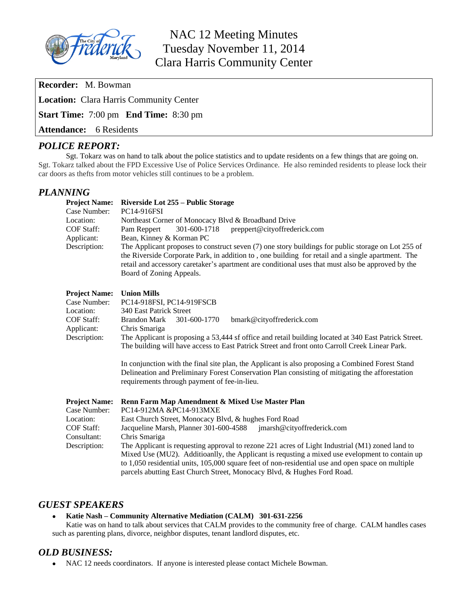

# NAC 12 Meeting Minutes Tuesday November 11, 2014 Clara Harris Community Center

**Recorder:** M. Bowman

**Location:** Clara Harris Community Center

**Start Time:** 7:00 pm **End Time:** 8:30 pm

**Attendance:** 6 Residents

# *POLICE REPORT:*

Sgt. Tokarz was on hand to talk about the police statistics and to update residents on a few things that are going on. Sgt. Tokarz talked about the FPD Excessive Use of Police Services Ordinance. He also reminded residents to please lock their car doors as thefts from motor vehicles still continues to be a problem.

# *PLANNING*

| <b>Project Name:</b><br>Case Number:<br>Location:<br><b>COF Staff:</b><br>Applicant:<br>Description: | Riverside Lot 255 – Public Storage<br>PC14-916FSI<br>Northeast Corner of Monocacy Blvd & Broadband Drive<br>301-600-1718<br>preppert@cityoffrederick.com<br>Pam Reppert<br>Bean, Kinney & Korman PC<br>The Applicant proposes to construct seven $(7)$ one story buildings for public storage on Lot 255 of<br>the Riverside Corporate Park, in addition to, one building for retail and a single apartment. The<br>retail and accessory caretaker's apartment are conditional uses that must also be approved by the<br>Board of Zoning Appeals. |  |  |  |  |  |  |  |  |  |  |  |
|------------------------------------------------------------------------------------------------------|---------------------------------------------------------------------------------------------------------------------------------------------------------------------------------------------------------------------------------------------------------------------------------------------------------------------------------------------------------------------------------------------------------------------------------------------------------------------------------------------------------------------------------------------------|--|--|--|--|--|--|--|--|--|--|--|
| <b>Project Name:</b>                                                                                 | <b>Union Mills</b>                                                                                                                                                                                                                                                                                                                                                                                                                                                                                                                                |  |  |  |  |  |  |  |  |  |  |  |
| Case Number:                                                                                         | PC14-918FSI, PC14-919FSCB                                                                                                                                                                                                                                                                                                                                                                                                                                                                                                                         |  |  |  |  |  |  |  |  |  |  |  |
| Location:<br><b>COF Staff:</b>                                                                       | 340 East Patrick Street                                                                                                                                                                                                                                                                                                                                                                                                                                                                                                                           |  |  |  |  |  |  |  |  |  |  |  |
| Applicant:                                                                                           | <b>Brandon Mark</b><br>301-600-1770<br>bmark@cityoffrederick.com<br>Chris Smariga                                                                                                                                                                                                                                                                                                                                                                                                                                                                 |  |  |  |  |  |  |  |  |  |  |  |
| Description:                                                                                         | The Applicant is proposing a 53,444 sf office and retail building located at 340 East Patrick Street.<br>The building will have access to East Patrick Street and front onto Carroll Creek Linear Park.                                                                                                                                                                                                                                                                                                                                           |  |  |  |  |  |  |  |  |  |  |  |
|                                                                                                      | In conjunction with the final site plan, the Applicant is also proposing a Combined Forest Stand<br>Delineation and Preliminary Forest Conservation Plan consisting of mitigating the afforestation<br>requirements through payment of fee-in-lieu.                                                                                                                                                                                                                                                                                               |  |  |  |  |  |  |  |  |  |  |  |
| <b>Project Name:</b><br>Case Number:                                                                 | Renn Farm Map Amendment & Mixed Use Master Plan<br>PC14-912MA &PC14-913MXE                                                                                                                                                                                                                                                                                                                                                                                                                                                                        |  |  |  |  |  |  |  |  |  |  |  |
| Location:                                                                                            | East Church Street, Monocacy Blvd, & hughes Ford Road                                                                                                                                                                                                                                                                                                                                                                                                                                                                                             |  |  |  |  |  |  |  |  |  |  |  |
| <b>COF Staff:</b><br>Consultant:                                                                     | Jacqueline Marsh, Planner 301-600-4588<br>jmarsh@cityoffrederick.com                                                                                                                                                                                                                                                                                                                                                                                                                                                                              |  |  |  |  |  |  |  |  |  |  |  |
| Description:                                                                                         | Chris Smariga<br>The Applicant is requesting approval to rezone 221 acres of Light Industrial (M1) zoned land to<br>Mixed Use (MU2). Additioanlly, the Applicant is requsting a mixed use evelopment to contain up<br>to 1,050 residential units, 105,000 square feet of non-residential use and open space on multiple<br>parcels abutting East Church Street, Monocacy Blvd, & Hughes Ford Road.                                                                                                                                                |  |  |  |  |  |  |  |  |  |  |  |

## *GUEST SPEAKERS*

## **Katie Nash – Community Alternative Mediation (CALM) 301-631-2256**

Katie was on hand to talk about services that CALM provides to the community free of charge. CALM handles cases such as parenting plans, divorce, neighbor disputes, tenant landlord disputes, etc.

# *OLD BUSINESS:*

NAC 12 needs coordinators. If anyone is interested please contact Michele Bowman.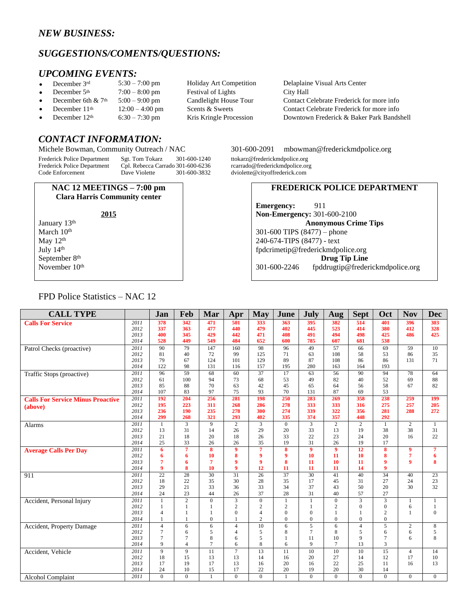# *NEW BUSINESS:*

# *SUGGESTIONS/COMENTS/QUESTIONS:*

# *UPCOMING EVENTS:*<br>• December 3rd 5:30 – 7:00 pm

- 
- 
- 
- 
- 

# *CONTACT INFORMATION:*

Frederick Police Department Sgt. Tom Tokarz 301-600-1240 ttokarz@frederickmdpolice.org<br>Frederick Police Department Cpl. Rebecca Carrado 301-600-6236 rcarrado@frederickmdpolice.org

Frederick Carrado 301-600-6236<br>Dave Violette 301-600-3832 Code Enforcement Dave Violette 301-600-3832 dviolette@cityoffrederick.com

#### **NAC 12 MEETINGS – 7:00 pm Clara Harris Community center**

January 13<sup>th</sup> March 10<sup>th</sup> May 12<sup>th</sup> July 14th September 8<sup>th</sup> November 10<sup>th</sup> Festival of Lights

December  $3^{rd}$  5:30 – 7:00 pm Holiday Art Competition Delaplaine Visual Arts Center<br>December  $5^{th}$  7:00 – 8:00 pm Festival of Lights City Hall City Hall December 6th & 7<sup>th</sup> 5:00 – 9:00 pm Candlelight House Tour Contact Celebrate Frederick for more info December 11<sup>th</sup> 12:00 – 4:00 pm Scents & Sweets Contact Celebrate Frederick for more info<br>December 12<sup>th</sup> 6:30 – 7:30 pm Kris Kringle Procession Downtown Frederick & Baker Park Bands Downtown Frederick & Baker Park Bandshell

#### Michele Bowman, Community Outreach / NAC 301-600-2091 [mbowman@frederickmdpolice.org](mailto:mbowman@frederickmdpolice.org)

## **FREDERICK POLICE DEPARTMENT**

**Emergency:** 911 **Non-Emergency:** 301-600-2100 **Anonymous Crime Tips** 301-600 TIPS (8477) – phone 240-674-TIPS (8477) - text [fpdcrimetip@frederickmdpolice.org](mailto:fpdcrimetip@frederickmdpolice.org) **Drug Tip Line** 301-600-2246 fpddrugtip@frederickmdpolice.org

> 

> >

> >

 

> 

> >

 

> 

 

 

| <b>Calls For Service</b>                 | 2011 | 378            | 342        | 471          | 501             | 333              | 363            | 395             | 382              | 514            | 401             | 396            |  |
|------------------------------------------|------|----------------|------------|--------------|-----------------|------------------|----------------|-----------------|------------------|----------------|-----------------|----------------|--|
|                                          | 2012 | 337            | 363        | 477          | 440             | 479              | 402            | 445             | 523              | 414            | 380             | 412            |  |
|                                          | 2013 | 400            | 345        | 429          | 442             | 471              | 408            | 491             | 494              | 498            | 425             | 486            |  |
|                                          | 2014 | 528            | 449        | 549          | 484             | 652              | 600            | 785             | 607              | 681            | 538             |                |  |
| Patrol Checks (proactive)                | 2011 | 90             | 79         | 147          | 160             | 98               | 96             | 49              | 57               | 66             | 69              | 59             |  |
|                                          | 2012 | 81             | 40         | 72           | 99              | 125              | 71             | 63              | 108              | 58             | 53              | 86             |  |
|                                          | 2013 | 79             | 67         | 124          | 101             | 129              | 89             | 87              | 108              | 86             | 86              | 131            |  |
|                                          | 2014 | 122            | 98         | 131          | 116             | 157              | 195            | 280             | 163              | 164            | 193             |                |  |
| Traffic Stops (proactive)                | 2011 | 96             | 59         | 68           | 60              | 37               | 17             | 63              | 56               | 90             | 94              | 78             |  |
|                                          | 2012 | 61             | 100        | 94           | 73              | 68               | 53             | 49              | 82               | 40             | 52              | 69             |  |
|                                          | 2013 | 85             | 88         | 70           | 63              | 42               | 45             | 65              | 64               | 56             | 58              | 67             |  |
|                                          | 2014 | 107            | 83         | 97           | 75              | 93               | 70             | 131             | 87               | 69             | 53              |                |  |
| <b>Calls For Service Minus Proactive</b> | 2011 | 192            | 204        | 256          | 281             | 198              | 250            | 283             | 269              | 358            | 238             | 259            |  |
| (above)                                  | 2012 | 195            | 223        | 311          | 268             | 286              | 278            | 333             | 333              | 316            | 275             | 257            |  |
|                                          | 2013 | 236            | 190        | 235          | 278             | 300              | 274            | 339             | 322              | 356            | 281             | 288            |  |
|                                          | 2014 | 299            | 268        | 321          | 293             | 402              | 335            | 374             | 357              | 448            | 292             |                |  |
| Alarms                                   | 2011 | $\mathbf{1}$   | 3          | 9            | 2               | 3                | $\overline{0}$ | 3               | $\overline{c}$   | $\overline{2}$ | $\mathbf{1}$    | $\overline{c}$ |  |
|                                          | 2012 | 13             | 31         | 14           | 26              | 29               | 20             | 33              | 13               | 19             | 38              | 38             |  |
|                                          | 2013 | 21             | 18         | 20           | 18              | 26               | 33             | 22              | 23               | 24             | 20              | 16             |  |
|                                          | 2014 | 25             | 33         | 26           | 26              | 35               | 19             | 31              | 26               | 19             | 17              |                |  |
| <b>Average Calls Per Day</b>             | 2011 | 6              | 7          | 8            | 9               | 7                | 8              | 9               | 9                | 12             | 8               | 9              |  |
|                                          | 2012 | 6              | 6          | 10           | 8               | 9                | q              | 10              | 11               | 10             | 8               | 7              |  |
|                                          | 2013 | 7              | 6          | 7            | 9               | 9                | 8              | 11              | 10               | 11             | 9               | 9              |  |
|                                          | 2014 | 9              | 8          | 10           | 9               | 12               | 11             | 11              | 11               | 14             | 9               |                |  |
| 911                                      | 2011 | 22             | 28         | 30           | $\overline{31}$ | 26               | 37             | $\overline{30}$ | 41               | 40             | $\overline{34}$ | 40             |  |
|                                          | 2012 | 18             | 22         | 35           | 30              | 28               | 35             | 17              | 45               | 31             | 27              | 24             |  |
|                                          | 2013 | 29             | 21         | 33           | 36              | 33               | 34             | 37              | 43               | 50             | 20              | 30             |  |
|                                          | 2014 | 24             | 23         | 44           | 26              | 37               | 28             | 31              | 40               | 57             | 27              |                |  |
| Accident, Personal Injury                | 2011 |                | $\sqrt{2}$ | $\Omega$     | 3               | $\boldsymbol{0}$ |                | 1               | $\boldsymbol{0}$ | 3              | 3               | 1              |  |
|                                          | 2012 |                |            |              | 2               | $\overline{2}$   | $\overline{2}$ | 1               | $\overline{2}$   | $\Omega$       | $\mathbf{0}$    | 6              |  |
|                                          | 2013 | $\overline{4}$ |            |              | $\mathbf{0}$    | $\overline{4}$   | $\Omega$       | $\mathbf{0}$    |                  |                | $\overline{c}$  | 1              |  |
|                                          | 2014 |                |            | $\mathbf{0}$ |                 | $\overline{2}$   | $\overline{0}$ | $\overline{0}$  | $\mathbf{0}$     | $\mathbf{0}$   | $\overline{0}$  |                |  |
| Accident, Property Damage                | 2011 | $\overline{4}$ | 6          | 6            | $\overline{4}$  | 10               | 6              | 5               | 6                | $\overline{4}$ | 5               | 2              |  |
|                                          | 2012 | $\overline{7}$ | 6          | 5            | $\overline{4}$  | 5                | 8              | $\overline{7}$  | 8                | 5              | 6               | 6              |  |
|                                          | 2013 | $\overline{7}$ |            | 8            | 6               | 5                |                | 11              | 10               | 9              | 7               | 6              |  |
|                                          | 2014 | 9              | 4          | 7            | 6               | 8                | 6              | 9               | $7\phantom{.0}$  | 13             | 3               |                |  |
| Accident, Vehicle                        | 2011 | 9              | 9          | 11           | $\overline{7}$  | 13               | 11             | 10              | 10               | 10             | 15              | 4              |  |
|                                          | 2012 | 18             | 15         | 13           | 13              | 14               | 16             | 20              | 27               | 14             | 12              | 17             |  |

**CALL TYPE Jan Feb Mar Apr May June July Aug Sept Oct Nov Dec**

#### FPD Police Statistics – NAC 12

 

 

 

 

 

Alcohol Complaint *2011* 0 0 1 0 0 1 0 0 0 0 0 0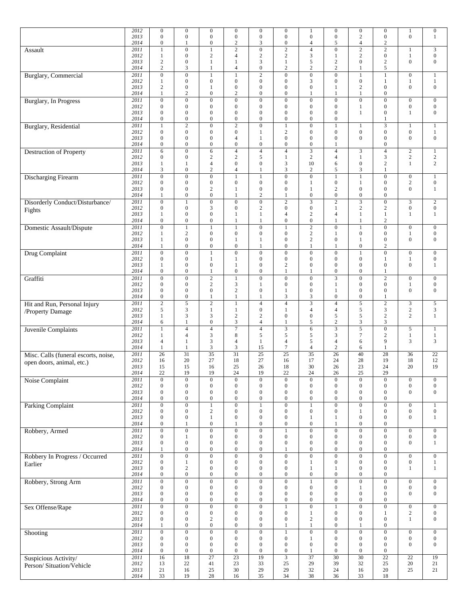|                                      | 2012<br>2013 | $\boldsymbol{0}$<br>$\mathbf{0}$     | $\boldsymbol{0}$<br>$\boldsymbol{0}$ | $\boldsymbol{0}$<br>$\boldsymbol{0}$ | $\boldsymbol{0}$<br>$\boldsymbol{0}$ | $\boldsymbol{0}$<br>$\boldsymbol{0}$ | $\boldsymbol{0}$<br>$\boldsymbol{0}$ | 1<br>$\boldsymbol{0}$                | $\boldsymbol{0}$<br>$\boldsymbol{0}$ | $\boldsymbol{0}$<br>$\sqrt{2}$            | $\boldsymbol{0}$<br>$\boldsymbol{0}$ | $\mathbf{1}$<br>$\mathbf{0}$         | $\boldsymbol{0}$<br>$\mathbf{1}$     |
|--------------------------------------|--------------|--------------------------------------|--------------------------------------|--------------------------------------|--------------------------------------|--------------------------------------|--------------------------------------|--------------------------------------|--------------------------------------|-------------------------------------------|--------------------------------------|--------------------------------------|--------------------------------------|
|                                      | 2014<br>2011 | $\boldsymbol{0}$<br>$\mathbf{1}$     | $\mathbf{1}$<br>$\boldsymbol{0}$     | $\boldsymbol{0}$<br>$\mathbf{1}$     | $\boldsymbol{2}$<br>$\overline{2}$   | 3<br>$\boldsymbol{0}$                | $\boldsymbol{0}$<br>$\overline{2}$   | $\overline{4}$<br>$\overline{4}$     | 5<br>$\boldsymbol{0}$                | $\overline{4}$<br>$\overline{2}$          | $\boldsymbol{2}$<br>$\mathbf{2}$     | $\mathbf{1}$                         | $\mathfrak{Z}$                       |
| Assault                              | 2012         | $\mathbf{1}$                         | $\boldsymbol{0}$                     | 2                                    | 4                                    | $\overline{2}$                       | $\sqrt{2}$                           | 3                                    | 1                                    | $\overline{2}$                            | $\boldsymbol{0}$                     | $\mathbf{1}$                         | $\boldsymbol{0}$                     |
|                                      | 2013         | $\sqrt{2}$                           | $\boldsymbol{0}$                     | 1                                    | 1                                    | 3                                    | 1                                    | 5                                    | $\sqrt{2}$                           | $\mathbf{0}$                              | $\sqrt{2}$                           | $\mathbf{0}$                         | $\mathbf{0}$                         |
| <b>Burglary</b> , Commercial         | 2014<br>2011 | $\overline{2}$<br>$\mathbf{0}$       | 3<br>$\boldsymbol{0}$                | 1<br>$\mathbf{1}$                    | 4<br>$\mathbf{1}$                    | $\boldsymbol{0}$<br>$\overline{2}$   | $\mathfrak{2}$<br>$\boldsymbol{0}$   | $\overline{c}$<br>$\boldsymbol{0}$   | $\overline{c}$<br>$\mathbf{0}$       | 1<br>$\mathbf{1}$                         | 5<br>1                               | $\mathbf{0}$                         | $\mathbf{1}$                         |
|                                      | 2012         | 1                                    | $\overline{0}$                       | $\boldsymbol{0}$                     | $\mathbf{0}$                         | $\mathbf{0}$                         | $\overline{0}$                       | 3                                    | $\mathbf{0}$                         | $\boldsymbol{0}$                          | $\mathbf{1}$                         | $\mathbf{1}$                         | 1                                    |
|                                      | 2013         | $\overline{2}$                       | $\boldsymbol{0}$                     | 1                                    | $\mathbf{0}$                         | $\overline{0}$                       | $\boldsymbol{0}$                     | $\mathbf{0}$                         | 1                                    | $\overline{2}$                            | $\mathbf{0}$                         | $\mathbf{0}$                         | $\mathbf{0}$                         |
|                                      | 2014<br>2011 | $\mathbf{1}$<br>$\boldsymbol{0}$     | $\overline{2}$<br>$\mathbf{0}$       | $\boldsymbol{0}$<br>$\boldsymbol{0}$ | $\overline{2}$<br>$\mathbf{0}$       | $\boldsymbol{0}$<br>$\mathbf{0}$     | $\boldsymbol{0}$<br>$\boldsymbol{0}$ | 1<br>$\boldsymbol{0}$                | $\mathbf{1}$<br>$\boldsymbol{0}$     | $\mathbf{1}$<br>$\mathbf{0}$              | $\boldsymbol{0}$<br>$\boldsymbol{0}$ | $\boldsymbol{0}$                     | $\boldsymbol{0}$                     |
| Burglary, In Progress                | 2012         | $\mathbf{0}$                         | $\mathbf{0}$                         | $\boldsymbol{0}$                     | $\boldsymbol{0}$                     | $\mathbf{0}$                         | $\boldsymbol{0}$                     | $\mathbf{0}$                         | $\mathbf{0}$                         | 1                                         | $\boldsymbol{0}$                     | $\boldsymbol{0}$                     | $\boldsymbol{0}$                     |
|                                      | 2013         | $\mathbf{0}$                         | $\boldsymbol{0}$                     | 0                                    | $\mathbf{0}$                         | $\boldsymbol{0}$                     | $\boldsymbol{0}$                     | $\mathbf{0}$                         | $\mathbf{0}$                         | 1                                         | $\boldsymbol{0}$                     | 1                                    | $\boldsymbol{0}$                     |
|                                      | 2014         | $\mathbf{0}$                         | $\boldsymbol{0}$                     | $\mathbf{0}$                         | $\mathbf{0}$                         | $\theta$                             | $\overline{0}$                       | $\mathbf{0}$                         | $\mathbf{0}$                         |                                           | 1                                    |                                      |                                      |
| Burglary, Residential                | 2011<br>2012 | $\mathbf{1}$<br>$\boldsymbol{0}$     | $\overline{2}$<br>$\boldsymbol{0}$   | $\boldsymbol{0}$<br>$\boldsymbol{0}$ | $\overline{2}$<br>$\boldsymbol{0}$   | $\overline{0}$<br>1                  | $\mathbf{1}$<br>$\mathbf{2}$         | $\mathbf{0}$<br>$\boldsymbol{0}$     | $\mathbf{1}$<br>$\mathbf{0}$         | $\mathbf{1}$<br>$\boldsymbol{0}$          | 3<br>$\boldsymbol{0}$                | $\mathbf{1}$<br>$\boldsymbol{0}$     | $\mathbf{1}$<br>1                    |
|                                      | 2013         | $\mathbf{0}$                         | $\boldsymbol{0}$                     | $\boldsymbol{0}$                     | 4                                    | $\mathbf{1}$                         | $\boldsymbol{0}$                     | $\mathbf{0}$                         | $\mathbf{0}$                         | $\overline{0}$                            | $\boldsymbol{0}$                     | $\boldsymbol{0}$                     | $\boldsymbol{0}$                     |
|                                      | 2014         | $\overline{0}$                       | $\mathbf{0}$                         | $\boldsymbol{0}$                     | $\mathbf{0}$                         | $\mathbf{0}$                         | $\boldsymbol{0}$                     | $\boldsymbol{0}$                     | 1                                    |                                           | $\boldsymbol{0}$                     |                                      |                                      |
| <b>Destruction of Property</b>       | 2011<br>2012 | 6<br>$\boldsymbol{0}$                | $\boldsymbol{0}$<br>$\boldsymbol{0}$ | 6<br>2                               | $\overline{4}$<br>$\overline{2}$     | $\overline{4}$<br>5                  | $\overline{4}$<br>$\mathbf{1}$       | 3<br>$\overline{c}$                  | $\overline{4}$<br>4                  | $\mathfrak{Z}$<br>1                       | $\overline{4}$<br>3                  | $\overline{2}$<br>$\sqrt{2}$         | $\mathbf{1}$<br>$\overline{c}$       |
|                                      | 2013         | 1                                    | 1                                    | 4                                    | $\mathbf{0}$                         | $\mathbf{0}$                         | 3                                    | 10                                   | 6                                    | $\mathbf{0}$                              | $\mathbf{2}$                         | $\mathbf{1}$                         | $\overline{c}$                       |
|                                      | 2014         | 3                                    | $\mathbf{0}$                         | $\overline{c}$                       | 4                                    | 1                                    | 3                                    | $\overline{2}$                       | 5                                    | 3                                         | 1                                    |                                      |                                      |
| <b>Discharging Firearm</b>           | 2011<br>2012 | $\overline{0}$<br>$\boldsymbol{0}$   | $\overline{0}$<br>$\boldsymbol{0}$   | $\overline{0}$<br>$\boldsymbol{0}$   | $\mathbf{1}$<br>$\boldsymbol{0}$     | $\overline{1}$<br>$\boldsymbol{0}$   | $\overline{0}$<br>$\boldsymbol{0}$   | $\overline{0}$<br>1                  | $\overline{1}$<br>$\boldsymbol{0}$   | $\overline{1}$<br>1                       | $\overline{0}$<br>$\boldsymbol{0}$   | $\overline{0}$<br>$\mathfrak{2}$     | $\mathbf{1}$<br>$\boldsymbol{0}$     |
|                                      | 2013         | $\mathbf{0}$                         | $\boldsymbol{0}$                     | $\overline{c}$                       | 1                                    | $\boldsymbol{0}$                     | $\boldsymbol{0}$                     | 1                                    | $\overline{c}$                       | $\mathbf{0}$                              | $\boldsymbol{0}$                     | $\boldsymbol{0}$                     | $\mathbf{1}$                         |
|                                      | 2014         | 1                                    | $\boldsymbol{0}$                     | $\boldsymbol{0}$                     | 1                                    | $\overline{c}$                       | $\mathbf{1}$                         | $\boldsymbol{0}$                     | $\boldsymbol{0}$                     | $\mathbf{0}$                              | $\boldsymbol{0}$                     |                                      |                                      |
| Disorderly Conduct/Disturbance/      | 2011<br>2012 | $\boldsymbol{0}$<br>$\mathbf{0}$     | $\mathbf{1}$<br>$\boldsymbol{0}$     | $\overline{0}$<br>3                  | $\mathbf{0}$<br>$\mathbf{0}$         | $\overline{0}$<br>$\overline{2}$     | $\overline{2}$<br>$\boldsymbol{0}$   | $\boldsymbol{0}$                     | $\overline{2}$<br>$\mathbf{1}$       | $\overline{\mathbf{3}}$<br>$\overline{2}$ | $\boldsymbol{0}$<br>$\mathfrak{2}$   | $\overline{3}$<br>$\boldsymbol{0}$   | $\overline{c}$<br>$\mathbf{0}$       |
| Fights                               | 2013         | 1                                    | $\boldsymbol{0}$                     | $\boldsymbol{0}$                     | 1                                    | 1                                    | $\overline{4}$                       | $\overline{c}$                       | $\overline{4}$                       | 1                                         | 1                                    | 1                                    | 1                                    |
|                                      | 2014         | $\boldsymbol{0}$                     | $\boldsymbol{0}$                     | $\boldsymbol{0}$                     | 1                                    | 1                                    | $\boldsymbol{0}$                     | $\boldsymbol{0}$                     | $\mathbf{1}$                         | 1                                         | $\boldsymbol{2}$                     |                                      |                                      |
| Domestic Assault/Dispute             | 2011<br>2012 | $\boldsymbol{0}$<br>1                | $\mathbf{1}$<br>$\overline{2}$       | $\mathbf{1}$<br>$\boldsymbol{0}$     | $\mathbf{1}$<br>$\mathbf{0}$         | $\boldsymbol{0}$<br>$\boldsymbol{0}$ | $\mathbf{1}$<br>$\boldsymbol{0}$     | $\overline{2}$<br>$\overline{c}$     | $\mathbf{0}$<br>$\mathbf{1}$         | $\mathbf{1}$<br>$\boldsymbol{0}$          | $\boldsymbol{0}$<br>$\boldsymbol{0}$ | $\mathbf{0}$<br>$\mathbf{1}$         | $\boldsymbol{0}$<br>$\boldsymbol{0}$ |
|                                      | 2013         | 1                                    | $\boldsymbol{0}$                     | $\boldsymbol{0}$                     | 1                                    | 1                                    | $\boldsymbol{0}$                     | $\overline{c}$                       | $\mathbf{0}$                         | 1                                         | $\boldsymbol{0}$                     | $\boldsymbol{0}$                     | $\boldsymbol{0}$                     |
|                                      | 2014         | 1                                    | $\boldsymbol{0}$                     | $\boldsymbol{0}$                     | $\mathbf{0}$                         | 1                                    | $\boldsymbol{0}$                     | 1                                    | 1                                    | $\mathbf{0}$                              | $\boldsymbol{2}$                     |                                      |                                      |
| Drug Complaint                       | 2011<br>2012 | $\boldsymbol{0}$<br>$\mathbf{0}$     | $\overline{0}$<br>$\overline{0}$     | $\mathbf{1}$<br>1                    | $\boldsymbol{0}$<br>1                | $\boldsymbol{0}$<br>$\boldsymbol{0}$ | $\boldsymbol{0}$<br>$\boldsymbol{0}$ | $\mathbf{0}$<br>$\mathbf{0}$         | $\boldsymbol{0}$<br>$\mathbf{0}$     | $\mathbf{1}$<br>$\mathbf{0}$              | $\boldsymbol{0}$<br>$\mathbf{1}$     | $\mathbf{0}$<br>$\mathbf{1}$         | $\boldsymbol{0}$<br>$\boldsymbol{0}$ |
|                                      | 2013         | 1                                    | $\mathbf{0}$                         | $\boldsymbol{0}$                     | 1                                    | $\mathbf{0}$                         | $\sqrt{2}$                           | $\boldsymbol{0}$                     | $\mathbf{0}$                         | $\mathbf{0}$                              | $\boldsymbol{0}$                     | $\mathbf{0}$                         | 1                                    |
|                                      | 2014         | $\mathbf{0}$                         | $\boldsymbol{0}$                     | $\mathbf{1}$                         | $\mathbf{0}$                         | $\mathbf{0}$                         | $\mathbf{1}$                         | 1                                    | $\boldsymbol{0}$                     | $\mathbf{0}$                              | 1                                    |                                      |                                      |
| Graffiti                             | 2011<br>2012 | $\boldsymbol{0}$<br>$\mathbf{0}$     | $\boldsymbol{0}$<br>$\boldsymbol{0}$ | $\sqrt{2}$<br>$\mathbf{2}$           | $\mathbf{1}$<br>3                    | $\boldsymbol{0}$<br>$\mathbf{1}$     | $\boldsymbol{0}$<br>$\boldsymbol{0}$ | $\boldsymbol{0}$<br>$\mathbf{0}$     | 3<br>1                               | $\mathbf{0}$<br>$\mathbf{0}$              | $\mathbf{2}$<br>$\boldsymbol{0}$     | $\mathbf{0}$<br>$\mathbf{1}$         | $\boldsymbol{0}$<br>$\boldsymbol{0}$ |
|                                      | 2013         | $\boldsymbol{0}$                     | $\boldsymbol{0}$                     | $\boldsymbol{0}$                     | $\overline{2}$                       | $\boldsymbol{0}$                     | $\mathbf{1}$                         | $\boldsymbol{0}$                     | $\mathbf{1}$                         | $\boldsymbol{0}$                          | $\boldsymbol{0}$                     | $\boldsymbol{0}$                     | $\boldsymbol{0}$                     |
|                                      | 2014         | $\boldsymbol{0}$                     | $\boldsymbol{0}$                     | 1                                    | $\mathbf{1}$                         | $\mathbf{1}$                         | 3                                    | 3                                    | $\mathbf{0}$                         | $\boldsymbol{0}$                          | 1                                    |                                      |                                      |
| Hit and Run, Personal Injury         | 2011<br>2012 | $\overline{2}$<br>5                  | 5<br>3                               | $\overline{2}$<br>$\mathbf{1}$       | $\mathbf{1}$<br>1                    | $\overline{4}$<br>$\mathbf{0}$       | $\overline{4}$<br>$\mathbf{1}$       | 3<br>$\overline{4}$                  | $\overline{4}$<br>$\overline{4}$     | 5<br>5                                    | $\sqrt{2}$<br>$\sqrt{3}$             | 3<br>$\sqrt{2}$                      | 5<br>3                               |
| /Property Damage                     | 2013         | 1                                    | 3                                    | 3                                    | $\overline{2}$                       | $\overline{2}$                       | $\boldsymbol{0}$                     | $\boldsymbol{0}$                     | 5                                    | 5                                         | $\sqrt{2}$                           | $\overline{c}$                       | $\mathbf{1}$                         |
|                                      | 2014         | 6                                    | $\mathbf{1}$                         | $\boldsymbol{0}$                     | 3                                    | $\overline{4}$                       | $\mathbf{1}$                         | 5                                    | $\overline{c}$                       | 3                                         | 3                                    |                                      |                                      |
| Juvenile Complaints                  | 2011<br>2012 | 1<br>1                               | $\overline{4}$<br>$\overline{4}$     | $\overline{4}$<br>3                  | $\overline{7}$<br>8                  | $\overline{4}$<br>5                  | 3<br>5                               | 6<br>5                               | 3<br>3                               | $\overline{5}$<br>$\tau$                  | $\overline{0}$<br>$\boldsymbol{2}$   | 5<br>$\mathbf{1}$                    | 1<br>1                               |
|                                      | 2013         | $\overline{4}$                       | $\mathbf{1}$                         | 3                                    | 4                                    | $\mathbf{1}$                         | $\overline{4}$                       | 5                                    | 4                                    | 6                                         | 9                                    | 3                                    | 3                                    |
|                                      | 2014         | 1                                    | 1                                    | 3                                    | 3                                    | 15                                   | $\tau$                               | $\overline{4}$                       | $\overline{c}$                       | 6                                         | 1                                    |                                      |                                      |
| Misc. Calls (funeral escorts, noise, | 2011<br>2012 | 26<br>16                             | 31<br>20                             | $\overline{35}$<br>27                | $\overline{31}$<br>18                | $\overline{25}$<br>27                | 25<br>16                             | $\overline{35}$<br>17                | 26<br>24                             | 40<br>28                                  | 28<br>19                             | 36<br>18                             | 22<br>12                             |
| open doors, animal, etc.)            | 2013         | 15                                   | 15                                   | 16                                   | 25                                   | 26                                   | 18                                   | 30                                   | 26                                   | 23                                        | 24                                   | 20                                   | 19                                   |
|                                      | 2014         | 22                                   | 19                                   | 19                                   | 24                                   | 19                                   | 22                                   | 24                                   | 26                                   | 25                                        | 29                                   |                                      |                                      |
| Noise Complaint                      | 2011<br>2012 | $\overline{0}$<br>$\boldsymbol{0}$   | $\overline{0}$<br>$\mathbf{0}$       | $\overline{0}$<br>$\boldsymbol{0}$   | $\overline{0}$<br>$\boldsymbol{0}$   | $\overline{0}$<br>$\boldsymbol{0}$   | $\overline{0}$<br>$\boldsymbol{0}$   | $\overline{0}$<br>$\boldsymbol{0}$   | $\overline{0}$<br>$\boldsymbol{0}$   | $\overline{0}$<br>$\boldsymbol{0}$        | $\overline{0}$<br>$\boldsymbol{0}$   | $\boldsymbol{0}$<br>$\boldsymbol{0}$ | $\boldsymbol{0}$<br>$\boldsymbol{0}$ |
|                                      | 2013         | $\boldsymbol{0}$                     | $\boldsymbol{0}$                     | $\boldsymbol{0}$                     | $\boldsymbol{0}$                     | $\boldsymbol{0}$                     | $\boldsymbol{0}$                     | $\boldsymbol{0}$                     | $\boldsymbol{0}$                     | $\boldsymbol{0}$                          | $\boldsymbol{0}$                     | $\boldsymbol{0}$                     | $\mathbf{0}$                         |
|                                      | 2014         | $\boldsymbol{0}$                     | $\boldsymbol{0}$                     | $\boldsymbol{0}$                     | $\boldsymbol{0}$                     | $\boldsymbol{0}$                     | $\boldsymbol{0}$                     | $\boldsymbol{0}$                     | $\boldsymbol{0}$                     | $\boldsymbol{0}$                          | $\boldsymbol{0}$                     |                                      |                                      |
| <b>Parking Complaint</b>             | 2011<br>2012 | $\overline{0}$<br>$\boldsymbol{0}$   | $\overline{0}$<br>$\boldsymbol{0}$   | $\mathbf{1}$<br>$\overline{c}$       | $\overline{0}$<br>$\boldsymbol{0}$   | $\mathbf{1}$<br>$\boldsymbol{0}$     | $\overline{0}$<br>$\boldsymbol{0}$   | 1<br>$\boldsymbol{0}$                | $\overline{0}$<br>$\boldsymbol{0}$   | $\overline{0}$<br>$\mathbf{1}$            | $\overline{0}$<br>$\boldsymbol{0}$   | $\boldsymbol{0}$<br>$\boldsymbol{0}$ | -1<br>$\boldsymbol{0}$               |
|                                      | 2013         | $\boldsymbol{0}$                     | $\boldsymbol{0}$                     | $\mathbf{1}$                         | $\boldsymbol{0}$                     | $\boldsymbol{0}$                     | $\boldsymbol{0}$                     | $\mathbf{1}$                         | 1                                    | $\boldsymbol{0}$                          | $\boldsymbol{0}$                     | $\boldsymbol{0}$                     | 1                                    |
|                                      | 2014         | $\boldsymbol{0}$                     | $\mathbf{1}$                         | $\boldsymbol{0}$                     | 1                                    | $\boldsymbol{0}$                     | $\boldsymbol{0}$                     | $\boldsymbol{0}$                     | $\mathbf{1}$                         | $\boldsymbol{0}$                          | $\boldsymbol{0}$                     |                                      |                                      |
| Robbery, Armed                       | 2011<br>2012 | $\boldsymbol{0}$<br>$\boldsymbol{0}$ | $\boldsymbol{0}$<br>$\mathbf{1}$     | $\boldsymbol{0}$<br>$\boldsymbol{0}$ | $\boldsymbol{0}$<br>$\boldsymbol{0}$ | $\overline{0}$<br>$\boldsymbol{0}$   | $\mathbf{1}$<br>$\boldsymbol{0}$     | $\boldsymbol{0}$<br>$\boldsymbol{0}$ | $\boldsymbol{0}$<br>$\boldsymbol{0}$ | $\overline{0}$<br>$\boldsymbol{0}$        | $\boldsymbol{0}$<br>$\boldsymbol{0}$ | $\boldsymbol{0}$<br>$\boldsymbol{0}$ | $\boldsymbol{0}$<br>$\boldsymbol{0}$ |
|                                      | 2013         | $\boldsymbol{0}$                     | $\boldsymbol{0}$                     | $\boldsymbol{0}$                     | $\boldsymbol{0}$                     | $\boldsymbol{0}$                     | $\boldsymbol{0}$                     | $\boldsymbol{0}$                     | $\boldsymbol{0}$                     | $\mathbf{0}$                              | $\boldsymbol{0}$                     | $\boldsymbol{0}$                     | $\mathbf{1}$                         |
|                                      | 2014         | 1                                    | $\boldsymbol{0}$                     | $\boldsymbol{0}$                     | $\boldsymbol{0}$                     | $\boldsymbol{0}$                     | $\mathbf{1}$                         | $\boldsymbol{0}$                     | $\boldsymbol{0}$                     | $\mathbf{0}$                              | $\boldsymbol{0}$                     |                                      |                                      |
| Robbery In Progress / Occurred       | 2011<br>2012 | $\boldsymbol{0}$<br>$\boldsymbol{0}$ | $\mathbf{0}$<br>1                    | $\mathbf{0}$<br>$\boldsymbol{0}$     | $\boldsymbol{0}$<br>$\boldsymbol{0}$ | $\boldsymbol{0}$<br>$\boldsymbol{0}$ | $\boldsymbol{0}$<br>$\boldsymbol{0}$ | $\boldsymbol{0}$<br>1                | $\mathbf{0}$<br>$\boldsymbol{0}$     | $\boldsymbol{0}$<br>$\boldsymbol{0}$      | $\boldsymbol{0}$<br>$\boldsymbol{0}$ | $\mathbf{0}$<br>$\boldsymbol{0}$     | $\mathbf{0}$<br>$\mathbf{1}$         |
| Earlier                              | 2013         | $\boldsymbol{0}$                     | $\sqrt{2}$                           | $\boldsymbol{0}$                     | $\boldsymbol{0}$                     | $\boldsymbol{0}$                     | $\boldsymbol{0}$                     | 1                                    | $\mathbf{1}$                         | $\boldsymbol{0}$                          | $\boldsymbol{0}$                     | 1                                    | 1                                    |
|                                      | 2014         | $\boldsymbol{0}$                     | $\mathbf{0}$                         | $\boldsymbol{0}$                     | $\boldsymbol{0}$                     | $\boldsymbol{0}$                     | $\boldsymbol{0}$                     | $\boldsymbol{0}$                     | $\mathbf{0}$                         | $\boldsymbol{0}$                          | $\boldsymbol{0}$                     |                                      |                                      |
| Robbery, Strong Arm                  | 2011<br>2012 | $\boldsymbol{0}$<br>$\boldsymbol{0}$ | $\boldsymbol{0}$<br>$\boldsymbol{0}$ | $\boldsymbol{0}$<br>$\boldsymbol{0}$ | $\boldsymbol{0}$<br>$\boldsymbol{0}$ | $\boldsymbol{0}$<br>$\boldsymbol{0}$ | $\boldsymbol{0}$<br>$\boldsymbol{0}$ | 1<br>$\boldsymbol{0}$                | $\boldsymbol{0}$<br>$\boldsymbol{0}$ | $\overline{0}$<br>1                       | $\boldsymbol{0}$<br>$\boldsymbol{0}$ | $\boldsymbol{0}$<br>$\boldsymbol{0}$ | $\boldsymbol{0}$<br>$\boldsymbol{0}$ |
|                                      | 2013         | $\boldsymbol{0}$                     | $\mathbf{0}$                         | $\boldsymbol{0}$                     | $\boldsymbol{0}$                     | $\boldsymbol{0}$                     | $\boldsymbol{0}$                     | $\boldsymbol{0}$                     | $\boldsymbol{0}$                     | $\boldsymbol{0}$                          | $\boldsymbol{0}$                     | $\boldsymbol{0}$                     | $\mathbf{0}$                         |
|                                      | 2014         | $\boldsymbol{0}$                     | $\boldsymbol{0}$                     | $\boldsymbol{0}$                     | $\mathbf{0}$                         | $\boldsymbol{0}$                     | $\boldsymbol{0}$                     | $\boldsymbol{0}$                     | $\mathbf{0}$                         | $\mathbf{0}$                              | $\boldsymbol{0}$                     |                                      |                                      |
| Sex Offense/Rape                     | 2011<br>2012 | $\boldsymbol{0}$<br>$\boldsymbol{0}$ | $\boldsymbol{0}$<br>$\boldsymbol{0}$ | $\boldsymbol{0}$<br>$\boldsymbol{0}$ | $\boldsymbol{0}$<br>$\boldsymbol{0}$ | $\boldsymbol{0}$<br>$\boldsymbol{0}$ | $\mathbf{1}$<br>$\boldsymbol{0}$     | $\boldsymbol{0}$<br>$\mathbf{1}$     | $\,1$<br>$\boldsymbol{0}$            | $\boldsymbol{0}$<br>$\boldsymbol{0}$      | $\boldsymbol{0}$<br>1                | $\boldsymbol{0}$<br>$\sqrt{2}$       | $\mathbf{0}$<br>$\mathbf{0}$         |
|                                      | 2013         | $\boldsymbol{0}$                     | $\boldsymbol{0}$                     | $\mathbf{2}$                         | $\mathbf{0}$                         | $\boldsymbol{0}$                     | $\boldsymbol{0}$                     | $\sqrt{2}$                           | $\boldsymbol{0}$                     | $\boldsymbol{0}$                          | $\boldsymbol{0}$                     | $\mathbf{1}$                         | $\boldsymbol{0}$                     |
|                                      | 2014         | 1                                    | $\boldsymbol{0}$                     | $\boldsymbol{0}$                     | $\boldsymbol{0}$                     | $\boldsymbol{0}$                     | $\mathbf{1}$                         | $\mathbf{1}$                         | $\boldsymbol{0}$                     | 1                                         | $\boldsymbol{0}$                     |                                      |                                      |
| Shooting                             | 2011<br>2012 | $\boldsymbol{0}$<br>$\boldsymbol{0}$ | $\overline{0}$<br>$\boldsymbol{0}$   | $\overline{0}$<br>$\boldsymbol{0}$   | $\boldsymbol{0}$<br>$\boldsymbol{0}$ | $\overline{0}$<br>$\boldsymbol{0}$   | $\,1$<br>$\boldsymbol{0}$            | $\boldsymbol{0}$<br>1                | $\boldsymbol{0}$<br>$\boldsymbol{0}$ | $\overline{0}$<br>$\mathbf{0}$            | $\boldsymbol{0}$<br>$\boldsymbol{0}$ | $\overline{0}$<br>$\boldsymbol{0}$   | $\boldsymbol{0}$<br>$\mathbf{0}$     |
|                                      | 2013         | $\boldsymbol{0}$                     | $\boldsymbol{0}$                     | $\boldsymbol{0}$                     | $\boldsymbol{0}$                     | $\boldsymbol{0}$                     | $\boldsymbol{0}$                     | $\boldsymbol{0}$                     | $\boldsymbol{0}$                     | $\boldsymbol{0}$                          | $\boldsymbol{0}$                     | $\boldsymbol{0}$                     | $\mathbf{0}$                         |
|                                      | 2014         | $\boldsymbol{0}$                     | $\boldsymbol{0}$                     | $\boldsymbol{0}$                     | $\boldsymbol{0}$                     | $\boldsymbol{0}$                     | $\boldsymbol{0}$                     | 1                                    | $\boldsymbol{0}$                     | $\boldsymbol{0}$                          | $\boldsymbol{0}$                     |                                      |                                      |
| Suspicious Activity/                 | 2011<br>2012 | 16<br>13                             | 18<br>22                             | 27<br>41                             | $\overline{23}$<br>23                | 19<br>33                             | $\overline{\mathbf{3}}$<br>$25\,$    | 37<br>29                             | 30<br>39                             | 30<br>32                                  | $\overline{22}$<br>25                | $\overline{22}$<br>20                | 19<br>21                             |
| Person/Situation/Vehicle             | 2013         | $21\,$                               | 16                                   | $25\,$                               | 30                                   | 29                                   | $29\,$                               | $32\,$                               | 24                                   | 16                                        | $20\,$                               | 25                                   | 21                                   |
|                                      | 2014         | 33                                   | 19                                   | 28                                   | 16                                   | $35\,$                               | 34                                   | 38                                   | 36                                   | 33                                        | 18                                   |                                      |                                      |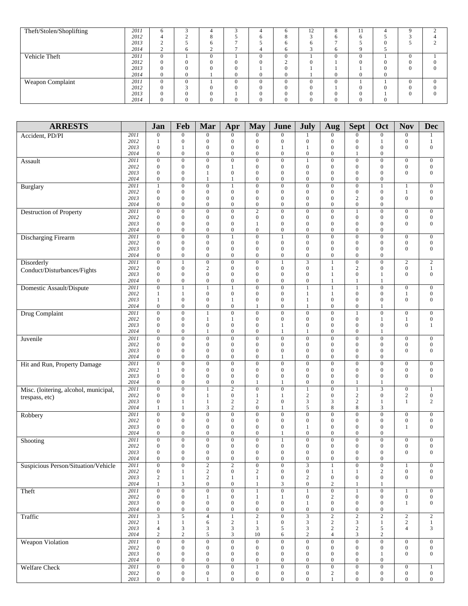| Theft/Stolen/Shoplifting | 2011 | h        |              |             | д            | n            | 12 | 8        | -11      |              |          | $\sim$   |
|--------------------------|------|----------|--------------|-------------|--------------|--------------|----|----------|----------|--------------|----------|----------|
|                          | 2012 |          | $\circ$<br>Ō |             | 6            |              |    | 6        |          |              |          |          |
|                          | 2013 |          | -6           |             |              | <sub>0</sub> |    |          |          | $\Omega$     |          |          |
|                          | 2014 |          | $\sim$       | -           | 4            | O            |    | 6        |          |              |          |          |
| Vehicle Theft            | 2011 | $\Omega$ | $\Omega$     |             | $\Omega$     | $\Omega$     |    | $\Omega$ | $\theta$ |              | $\Omega$ |          |
|                          | 2012 | 0        | 0            |             | $\Omega$     | $\sim$       |    |          |          | $\Omega$     | 0        |          |
|                          | 2013 | 0        |              |             |              | $\Omega$     |    |          |          | $\Omega$     | $\theta$ | $\Omega$ |
|                          | 2014 | 0        |              |             | $\mathbf{0}$ | $\mathbf{0}$ |    | 0        |          | $\mathbf{0}$ |          |          |
| Weapon Complaint         | 2011 | $\Omega$ |              |             | $\Omega$     | $\Omega$     |    | $\Omega$ |          |              | $\Omega$ | $\theta$ |
|                          | 2012 | 0        |              |             | $\Omega$     | $\Omega$     |    |          |          |              | $\Omega$ |          |
|                          | 2013 | 0        |              |             | $\Omega$     | $\Omega$     |    |          |          |              | $\Omega$ | $\theta$ |
|                          | 2014 | $\Omega$ | $\mathbf{0}$ | $^{\prime}$ | $\mathbf{0}$ | 0            |    |          |          | $\mathbf{0}$ |          |          |

| <b>ARRESTS</b>                        |              | Jan                                  | Feb                                  | Mar                                  | Apr                                  | <b>May</b>                           | June                               | July                                 | Aug                                  | <b>Sept</b>                          | Oct                                  | <b>Nov</b>                       | <b>Dec</b>                       |
|---------------------------------------|--------------|--------------------------------------|--------------------------------------|--------------------------------------|--------------------------------------|--------------------------------------|------------------------------------|--------------------------------------|--------------------------------------|--------------------------------------|--------------------------------------|----------------------------------|----------------------------------|
| Accident, PD/PI                       | 2011         | $\mathbf{0}$                         | $\mathbf{0}$                         | $\boldsymbol{0}$                     | $\mathbf{0}$                         | $\overline{0}$                       | $\mathbf{0}$                       | 1                                    | $\mathbf{0}$                         | $\boldsymbol{0}$                     | $\mathbf{0}$                         | $\boldsymbol{0}$                 | 1                                |
|                                       | 2012<br>2013 | 1<br>$\mathbf{0}$                    | $\mathbf{0}$<br>$\mathbf{1}$         | $\boldsymbol{0}$<br>$\boldsymbol{0}$ | $\mathbf{0}$<br>$\boldsymbol{0}$     | $\mathbf{0}$<br>$\overline{0}$       | $\mathbf{0}$<br>1                  | $\overline{0}$<br>1                  | $\boldsymbol{0}$<br>$\mathbf{0}$     | $\mathbf{0}$<br>$\boldsymbol{0}$     | $\mathbf{1}$<br>$\mathbf{0}$         | $\boldsymbol{0}$<br>$\mathbf{0}$ | $\mathbf{1}$<br>$\mathbf{0}$     |
|                                       | 2014         | $\mathbf{0}$                         | $\mathbf{0}$                         | $\boldsymbol{0}$                     | $\boldsymbol{0}$                     | $\boldsymbol{0}$                     | $\boldsymbol{0}$                   | $\boldsymbol{0}$                     | $\boldsymbol{0}$                     | 1                                    | $\boldsymbol{0}$                     |                                  |                                  |
| Assault                               | 2011         | $\overline{0}$                       | $\overline{0}$                       | $\overline{0}$                       | $\overline{0}$                       | $\overline{0}$                       | $\overline{0}$                     | $\mathbf{1}$                         | $\overline{0}$                       | $\overline{0}$                       | $\boldsymbol{0}$                     | $\boldsymbol{0}$                 | $\mathbf{0}$                     |
|                                       | 2012         | $\mathbf{0}$                         | $\mathbf{0}$                         | $\boldsymbol{0}$                     | $\mathbf{1}$                         | $\boldsymbol{0}$                     | $\mathbf{0}$                       | $\mathbf{0}$                         | $\mathbf{0}$                         | $\boldsymbol{0}$                     | $\boldsymbol{0}$                     | $\boldsymbol{0}$                 | $\boldsymbol{0}$                 |
|                                       | 2013<br>2014 | $\mathbf{0}$<br>$\mathbf{0}$         | $\mathbf{0}$<br>$\mathbf{0}$         | 1<br>$\mathbf{1}$                    | $\boldsymbol{0}$<br>$\mathbf{1}$     | $\boldsymbol{0}$<br>$\boldsymbol{0}$ | $\mathbf{0}$<br>$\mathbf{0}$       | $\overline{0}$<br>$\mathbf{0}$       | $\mathbf{0}$<br>$\mathbf{0}$         | $\mathbf{0}$<br>$\mathbf{0}$         | $\mathbf{0}$<br>$\boldsymbol{0}$     | $\boldsymbol{0}$                 | $\mathbf{0}$                     |
| <b>Burglary</b>                       | 2011         | $\mathbf{1}$                         | $\overline{0}$                       | $\boldsymbol{0}$                     | $\mathbf{1}$                         | $\boldsymbol{0}$                     | $\overline{0}$                     | $\overline{0}$                       | $\overline{0}$                       | $\overline{0}$                       | $\mathbf{1}$                         | $\mathbf{1}$                     | $\mathbf{0}$                     |
|                                       | 2012         | $\mathbf{0}$                         | $\mathbf{0}$                         | $\mathbf{0}$                         | $\boldsymbol{0}$                     | $\overline{0}$                       | $\boldsymbol{0}$                   | $\mathbf{0}$                         | $\mathbf{0}$                         | $\mathbf{0}$                         | $\mathbf{0}$                         | $\mathbf{1}$                     | $\mathbf{0}$                     |
|                                       | 2013         | $\mathbf{0}$                         | $\mathbf{0}$                         | $\boldsymbol{0}$                     | $\mathbf{0}$                         | $\boldsymbol{0}$                     | $\boldsymbol{0}$                   | $\mathbf{0}$                         | $\overline{0}$                       | $\overline{c}$                       | $\boldsymbol{0}$                     | $\boldsymbol{0}$                 | $\boldsymbol{0}$                 |
| <b>Destruction of Property</b>        | 2014<br>2011 | $\mathbf{0}$<br>$\mathbf{0}$         | $\mathbf{0}$<br>$\overline{0}$       | $\mathbf{0}$<br>$\boldsymbol{0}$     | $\boldsymbol{0}$<br>$\boldsymbol{0}$ | $\boldsymbol{0}$<br>$\overline{2}$   | $\mathbf{0}$<br>$\boldsymbol{0}$   | $\mathbf{0}$<br>$\mathbf{0}$         | $\boldsymbol{0}$<br>$\boldsymbol{0}$ | $\mathbf{0}$<br>1                    | $\boldsymbol{0}$<br>$\mathbf{0}$     | $\boldsymbol{0}$                 | $\mathbf{0}$                     |
|                                       | 2012         | $\mathbf{0}$                         | $\mathbf{0}$                         | $\boldsymbol{0}$                     | $\mathbf{0}$                         | $\overline{0}$                       | $\boldsymbol{0}$                   | $\mathbf{0}$                         | $\mathbf{0}$                         | $\mathbf{0}$                         | $\boldsymbol{0}$                     | $\boldsymbol{0}$                 | $\boldsymbol{0}$                 |
|                                       | 2013         | $\mathbf{0}$                         | $\mathbf{0}$                         | $\boldsymbol{0}$                     | $\mathbf{0}$                         | 1                                    | $\mathbf{0}$                       | $\mathbf{0}$                         | $\mathbf{0}$                         | $\boldsymbol{0}$                     | $\boldsymbol{0}$                     | $\boldsymbol{0}$                 | $\mathbf{0}$                     |
|                                       | 2014<br>2011 | $\mathbf{0}$<br>$\mathbf{0}$         | $\mathbf{0}$<br>$\overline{0}$       | $\mathbf{0}$<br>$\mathbf{0}$         | $\boldsymbol{0}$<br>$\mathbf{1}$     | $\boldsymbol{0}$<br>$\overline{0}$   | $\mathbf{0}$<br>$\mathbf{1}$       | $\mathbf{0}$<br>$\overline{0}$       | $\boldsymbol{0}$<br>$\overline{0}$   | $\boldsymbol{0}$<br>$\mathbf{0}$     | $\boldsymbol{0}$<br>$\mathbf{0}$     | $\boldsymbol{0}$                 | $\mathbf{0}$                     |
| <b>Discharging Firearm</b>            | 2012         | $\mathbf{0}$                         | $\mathbf{0}$                         | $\boldsymbol{0}$                     | $\mathbf{0}$                         | $\boldsymbol{0}$                     | $\mathbf{0}$                       | $\mathbf{0}$                         | $\overline{0}$                       | $\mathbf{0}$                         | $\mathbf{0}$                         | $\boldsymbol{0}$                 | $\boldsymbol{0}$                 |
|                                       | 2013         | $\boldsymbol{0}$                     | $\boldsymbol{0}$                     | $\boldsymbol{0}$                     | $\mathbf{0}$                         | $\boldsymbol{0}$                     | $\mathbf{0}$                       | $\boldsymbol{0}$                     | $\mathbf{0}$                         | $\boldsymbol{0}$                     | $\boldsymbol{0}$                     | $\boldsymbol{0}$                 | $\boldsymbol{0}$                 |
|                                       | 2014         | $\mathbf{0}$                         | $\mathbf{0}$                         | $\mathbf{0}$                         | $\boldsymbol{0}$                     | $\overline{0}$                       | $\boldsymbol{0}$                   | $\overline{0}$                       | $\boldsymbol{0}$                     | $\mathbf{0}$                         | $\mathbf{0}$                         |                                  |                                  |
| Disorderly                            | 2011<br>2012 | $\mathbf{0}$<br>$\mathbf{0}$         | $\mathbf{1}$<br>$\mathbf{0}$         | $\boldsymbol{0}$<br>$\sqrt{2}$       | $\overline{0}$<br>$\mathbf{0}$       | $\overline{0}$<br>$\boldsymbol{0}$   | $\mathbf{1}$<br>$\boldsymbol{0}$   | 3<br>$\mathbf{0}$                    | $\mathbf{1}$<br>1                    | $\overline{0}$<br>$\overline{c}$     | $\boldsymbol{0}$<br>$\boldsymbol{0}$ | $\mathbf{2}$<br>$\boldsymbol{0}$ | $\overline{c}$<br>$\mathbf{1}$   |
| Conduct/Disturbances/Fights           | 2013         | $\mathbf{0}$                         | $\mathbf{0}$                         | $\boldsymbol{0}$                     | $\mathbf{0}$                         | $\boldsymbol{0}$                     | $\boldsymbol{0}$                   | $\mathbf{0}$                         | $\mathbf{1}$                         | $\boldsymbol{0}$                     | $\mathbf{1}$                         | $\boldsymbol{0}$                 | $\mathbf{0}$                     |
|                                       | 2014         | $\mathbf{0}$                         | $\mathbf{0}$                         | $\boldsymbol{0}$                     | $\boldsymbol{0}$                     | $\overline{0}$                       | $\boldsymbol{0}$                   | $\boldsymbol{0}$                     | 1                                    | 1                                    | $\mathbf{1}$                         |                                  |                                  |
| Domestic Assault/Dispute              | 2011         | $\boldsymbol{0}$                     | $\mathbf{1}$                         | $\mathbf{1}$                         | 1                                    | $\boldsymbol{0}$                     | $\overline{0}$                     | 1                                    | $\mathbf{1}$                         | $\mathbf{1}$                         | $\mathbf{0}$                         | $\boldsymbol{0}$                 | $\mathbf{0}$                     |
|                                       | 2012<br>2013 | 1<br>$\mathbf{1}$                    | 1<br>$\mathbf{0}$                    | $\boldsymbol{0}$<br>$\boldsymbol{0}$ | $\boldsymbol{0}$<br>$\mathbf{1}$     | $\boldsymbol{0}$<br>$\boldsymbol{0}$ | $\boldsymbol{0}$<br>$\mathbf{0}$   | 1<br>$\mathbf{1}$                    | 1<br>$\mathbf{0}$                    | $\boldsymbol{0}$<br>$\boldsymbol{0}$ | $\boldsymbol{0}$<br>$\boldsymbol{0}$ | 1<br>$\boldsymbol{0}$            | $\mathbf{0}$<br>$\mathbf{0}$     |
|                                       | 2014         | $\boldsymbol{0}$                     | $\mathbf{0}$                         | $\boldsymbol{0}$                     | $\boldsymbol{0}$                     | 1                                    | $\boldsymbol{0}$                   | 1                                    | $\boldsymbol{0}$                     | $\boldsymbol{0}$                     | $\mathbf{1}$                         |                                  |                                  |
| Drug Complaint                        | 2011         | $\overline{0}$                       | $\overline{0}$                       | $\mathbf{1}$                         | $\overline{0}$                       | $\overline{0}$                       | $\overline{0}$                     | $\mathbf{0}$                         | $\overline{0}$                       | $\mathbf{1}$                         | $\boldsymbol{0}$                     | $\boldsymbol{0}$                 | $\mathbf{0}$                     |
|                                       | 2012<br>2013 | $\mathbf{0}$<br>$\mathbf{0}$         | $\mathbf{0}$<br>$\mathbf{0}$         | 1<br>$\mathbf{0}$                    | 1<br>$\overline{0}$                  | $\boldsymbol{0}$<br>$\overline{0}$   | $\mathbf{0}$<br>$\mathbf{1}$       | $\mathbf{0}$<br>$\mathbf{0}$         | $\mathbf{0}$<br>$\overline{0}$       | $\mathbf{0}$<br>$\mathbf{0}$         | 1<br>$\mathbf{0}$                    | $\mathbf{1}$<br>$\mathbf{0}$     | $\boldsymbol{0}$<br>$\mathbf{1}$ |
|                                       | 2014         | $\boldsymbol{0}$                     | $\mathbf{0}$                         | 1                                    | $\boldsymbol{0}$                     | $\boldsymbol{0}$                     | $\mathbf{1}$                       | 1                                    | $\boldsymbol{0}$                     | $\mathbf{0}$                         | 1                                    |                                  |                                  |
| Juvenile                              | 2011         | $\boldsymbol{0}$                     | $\mathbf{0}$                         | $\boldsymbol{0}$                     | $\mathbf{0}$                         | $\boldsymbol{0}$                     | $\boldsymbol{0}$                   | $\boldsymbol{0}$                     | $\boldsymbol{0}$                     | $\boldsymbol{0}$                     | $\boldsymbol{0}$                     | $\boldsymbol{0}$                 | $\boldsymbol{0}$                 |
|                                       | 2012         | $\mathbf{0}$                         | $\mathbf{0}$                         | $\boldsymbol{0}$                     | $\mathbf{0}$                         | $\overline{0}$                       | $\mathbf{0}$                       | $\mathbf{0}$                         | $\boldsymbol{0}$                     | $\boldsymbol{0}$                     | $\mathbf{0}$                         | $\boldsymbol{0}$                 | $\mathbf{0}$                     |
|                                       | 2013<br>2014 | $\mathbf{0}$<br>$\mathbf{0}$         | $\mathbf{0}$<br>$\mathbf{0}$         | $\boldsymbol{0}$<br>$\boldsymbol{0}$ | $\mathbf{0}$<br>$\mathbf{0}$         | $\overline{0}$<br>$\boldsymbol{0}$   | $\boldsymbol{0}$<br>1              | $\mathbf{0}$<br>$\mathbf{0}$         | $\mathbf{0}$<br>$\overline{0}$       | $\mathbf{0}$<br>$\boldsymbol{0}$     | $\mathbf{0}$<br>$\mathbf{0}$         | $\mathbf{0}$                     | $\mathbf{0}$                     |
| Hit and Run, Property Damage          | 2011         | $\mathbf{0}$                         | $\overline{0}$                       | $\boldsymbol{0}$                     | $\overline{0}$                       | $\overline{0}$                       | $\overline{0}$                     | $\overline{0}$                       | $\overline{0}$                       | $\overline{0}$                       | $\mathbf{0}$                         | $\boldsymbol{0}$                 | $\boldsymbol{0}$                 |
|                                       | 2012         | 1                                    | $\mathbf{0}$                         | $\mathbf{0}$                         | $\boldsymbol{0}$                     | $\boldsymbol{0}$                     | $\boldsymbol{0}$                   | $\mathbf{0}$                         | $\boldsymbol{0}$                     | $\mathbf{0}$                         | $\mathbf{0}$                         | $\boldsymbol{0}$                 | $\boldsymbol{0}$                 |
|                                       | 2013<br>2014 | $\mathbf{0}$<br>$\boldsymbol{0}$     | $\mathbf{0}$<br>$\mathbf{0}$         | $\mathbf{0}$<br>$\boldsymbol{0}$     | $\mathbf{0}$<br>$\boldsymbol{0}$     | $\boldsymbol{0}$<br>1                | $\mathbf{0}$<br>$\mathbf{1}$       | $\mathbf{0}$<br>$\boldsymbol{0}$     | $\mathbf{0}$<br>$\boldsymbol{0}$     | $\mathbf{0}$<br>$\mathbf{1}$         | $\mathbf{0}$<br>1                    | $\mathbf{0}$                     | $\mathbf{0}$                     |
| Misc. (loitering, alcohol, municipal, | 2011         | $\boldsymbol{0}$                     | $\mathbf{0}$                         | $\mathbf{1}$                         | $\sqrt{2}$                           | $\boldsymbol{0}$                     | $\boldsymbol{0}$                   | 1                                    | $\boldsymbol{0}$                     | $\mathbf{1}$                         | 3                                    | $\boldsymbol{0}$                 | $\mathbf{1}$                     |
| trespass, etc)                        | 2012         | $\mathbf{0}$                         | $\mathbf{0}$                         | 1                                    | $\boldsymbol{0}$                     | 1                                    | 1                                  | $\mathbf{2}$                         | $\boldsymbol{0}$                     | 2                                    | $\mathbf{0}$                         | $\sqrt{2}$                       | $\boldsymbol{0}$                 |
|                                       | 2013<br>2014 | $\mathbf{0}$<br>$\mathbf{1}$         | 1<br>$\mathbf{1}$                    | $\mathbf{1}$<br>3                    | $\sqrt{2}$<br>$\mathbf{2}$           | $\overline{c}$<br>$\overline{0}$     | $\mathbf{0}$<br>$\mathbf{1}$       | 3<br>5                               | 3<br>8                               | $\sqrt{2}$<br>8                      | 1<br>3                               | $\mathbf{1}$                     | $\overline{c}$                   |
| Robbery                               | 2011         | $\mathbf{0}$                         | $\mathbf{0}$                         | $\boldsymbol{0}$                     | $\mathbf{0}$                         | $\boldsymbol{0}$                     | $\boldsymbol{0}$                   | $\overline{0}$                       | $\overline{0}$                       | $\overline{0}$                       | $\mathbf{0}$                         | $\boldsymbol{0}$                 | $\mathbf{0}$                     |
|                                       | 2012         | $\mathbf{0}$                         | $\mathbf{0}$                         | $\mathbf{0}$                         | $\boldsymbol{0}$                     | $\boldsymbol{0}$                     | $\boldsymbol{0}$                   | $\boldsymbol{0}$                     | $\mathbf{0}$                         | $\boldsymbol{0}$                     | $\boldsymbol{0}$                     | $\boldsymbol{0}$                 | $\boldsymbol{0}$                 |
|                                       | 2013<br>2014 | $\mathbf{0}$<br>$\mathbf{0}$         | $\boldsymbol{0}$<br>$\mathbf{0}$     | $\boldsymbol{0}$<br>$\boldsymbol{0}$ | $\mathbf{0}$<br>$\boldsymbol{0}$     | $\boldsymbol{0}$<br>$\overline{0}$   | $\mathbf{0}$<br>$\mathbf{1}$       | 1<br>$\overline{0}$                  | $\mathbf{0}$<br>$\boldsymbol{0}$     | $\boldsymbol{0}$<br>$\mathbf{0}$     | $\boldsymbol{0}$<br>$\mathbf{0}$     | 1                                | $\boldsymbol{0}$                 |
| Shooting                              | 2011         | $\overline{0}$                       | $\overline{0}$                       | $\boldsymbol{0}$                     | $\boldsymbol{0}$                     | $\overline{0}$                       | $\mathbf{1}$                       | $\overline{0}$                       | $\overline{0}$                       | $\boldsymbol{0}$                     | $\overline{0}$                       | $\boldsymbol{0}$                 | $\mathbf{0}$                     |
|                                       | 2012         | $\mathbf{0}$                         | $\boldsymbol{0}$                     | $\boldsymbol{0}$                     | $\bf{0}$                             | $\boldsymbol{0}$                     | $\boldsymbol{0}$                   | $\mathbf{0}$                         | $\mathbf{0}$                         | $\mathbf{0}$                         | 0                                    | $\boldsymbol{0}$                 | $\mathbf{0}$                     |
|                                       | 2013<br>2014 | $\mathbf{0}$<br>$\mathbf{0}$         | $\mathbf{0}$<br>$\mathbf{0}$         | $\boldsymbol{0}$<br>$\mathbf{0}$     | $\mathbf{0}$<br>$\mathbf{0}$         | $\boldsymbol{0}$<br>$\overline{0}$   | $\mathbf{0}$<br>$\boldsymbol{0}$   | $\mathbf{0}$<br>$\mathbf{0}$         | $\boldsymbol{0}$<br>$\boldsymbol{0}$ | $\mathbf{0}$<br>$\mathbf{0}$         | $\mathbf{0}$<br>$\mathbf{0}$         | $\boldsymbol{0}$                 | $\mathbf{0}$                     |
| Suspicious Person/Situation/Vehicle   | 2011         | $\overline{0}$                       | $\overline{0}$                       | $\sqrt{2}$                           | $\boldsymbol{2}$                     | $\overline{0}$                       | $\boldsymbol{0}$                   | 3                                    | $\mathbf{1}$                         | $\boldsymbol{0}$                     | $\boldsymbol{0}$                     | $\mathbf{1}$                     | $\boldsymbol{0}$                 |
|                                       | 2012         | $\boldsymbol{0}$                     | 1                                    | $\sqrt{2}$                           | $\boldsymbol{0}$                     | $\overline{c}$                       | $\boldsymbol{0}$                   | $\boldsymbol{0}$                     | $\mathbf{1}$                         | $\mathbf{1}$                         | $\sqrt{2}$                           | $\boldsymbol{0}$                 | $\boldsymbol{0}$                 |
|                                       | 2013<br>2014 | $\boldsymbol{2}$<br>$\mathbf{1}$     | 1<br>3                               | $\overline{c}$<br>$\boldsymbol{0}$   | $\mathbf{1}$<br>$\boldsymbol{0}$     | $\mathbf{1}$<br>$\mathbf{1}$         | $\boldsymbol{0}$<br>$\mathfrak{Z}$ | 2<br>$\boldsymbol{0}$                | $\boldsymbol{0}$<br>$\sqrt{2}$       | $\mathbf{0}$<br>1                    | $\boldsymbol{0}$<br>1                | $\boldsymbol{0}$                 | $\overline{0}$                   |
| Theft                                 | 2011         | $\boldsymbol{0}$                     | $\overline{0}$                       | $\overline{0}$                       | $\boldsymbol{0}$                     | $\mathbf{1}$                         | $\boldsymbol{0}$                   | $\mathbf{1}$                         | $\overline{0}$                       | $\overline{1}$                       | $\overline{0}$                       | $\mathbf{1}$                     | $\boldsymbol{0}$                 |
|                                       | 2012         | $\boldsymbol{0}$                     | $\boldsymbol{0}$                     | $\mathbf{1}$                         | $\boldsymbol{0}$                     | 1                                    | $\mathbf{1}$                       | $\boldsymbol{0}$                     | $\overline{c}$                       | $\boldsymbol{0}$                     | $\boldsymbol{0}$                     | $\boldsymbol{0}$                 | $\boldsymbol{0}$                 |
|                                       | 2013<br>2014 | $\boldsymbol{0}$<br>$\boldsymbol{0}$ | $\boldsymbol{0}$<br>$\boldsymbol{0}$ | $\boldsymbol{0}$<br>$\boldsymbol{0}$ | $\boldsymbol{0}$<br>$\boldsymbol{0}$ | $\boldsymbol{0}$<br>0                | $\boldsymbol{0}$<br>$\mathbf{0}$   | 1<br>$\boldsymbol{0}$                | $\boldsymbol{0}$<br>$\boldsymbol{0}$ | $\boldsymbol{0}$<br>$\boldsymbol{0}$ | $\mathbf{0}$<br>$\boldsymbol{0}$     | $\mathbf{1}$                     | $\boldsymbol{0}$                 |
| Traffic                               | 2011         | $\overline{3}$                       | $\overline{5}$                       | $\overline{4}$                       | $\overline{1}$                       | $\overline{2}$                       | $\overline{0}$                     | $\overline{3}$                       | $\overline{2}$                       | $\overline{2}$                       | $\overline{2}$                       | $\overline{2}$                   | $\overline{2}$                   |
|                                       | 2012         | $\mathbf{1}$                         | $\mathbf{1}$                         | 6                                    | $\sqrt{2}$                           | $\mathbf{1}$                         | $\boldsymbol{0}$                   | 3                                    | $\sqrt{2}$                           | 3                                    | $\mathbf{1}$                         | $\sqrt{2}$                       | $1\,$                            |
|                                       | 2013         | $\overline{4}$                       | $\sqrt{3}$<br>$\sqrt{2}$             | 3                                    | $\sqrt{3}$                           | 3                                    | 5                                  | 3                                    | $\mathbf{2}$                         | $\overline{2}$                       | 5                                    | $\overline{4}$                   | 3                                |
| Weapon Violation                      | 2014<br>2011 | $\sqrt{2}$<br>$\overline{0}$         | $\overline{0}$                       | 5<br>$\overline{0}$                  | $\sqrt{3}$<br>$\overline{0}$         | 10<br>$\overline{0}$                 | 6<br>$\overline{0}$                | $\mathbf{2}$<br>$\overline{0}$       | $\overline{4}$<br>$\overline{0}$     | $\mathfrak{Z}$<br>$\overline{0}$     | $\sqrt{2}$<br>$\overline{0}$         | $\overline{0}$                   | $\overline{0}$                   |
|                                       | 2012         | $\boldsymbol{0}$                     | $\mathbf{0}$                         | $\boldsymbol{0}$                     | $\mathbf{0}$                         | $\boldsymbol{0}$                     | $\boldsymbol{0}$                   | $\boldsymbol{0}$                     | $\boldsymbol{0}$                     | $\boldsymbol{0}$                     | $\boldsymbol{0}$                     | $\boldsymbol{0}$                 | $\boldsymbol{0}$                 |
|                                       | 2013         | $\mathbf{0}$                         | $\boldsymbol{0}$                     | $\boldsymbol{0}$                     | $\mathbf{0}$                         | 0                                    | $\boldsymbol{0}$                   | $\boldsymbol{0}$                     | $\boldsymbol{0}$                     | $\boldsymbol{0}$                     | 1                                    | $\boldsymbol{0}$                 | $\mathbf{0}$                     |
| <b>Welfare Check</b>                  | 2014<br>2011 | $\boldsymbol{0}$<br>$\mathbf{0}$     | $\boldsymbol{0}$<br>$\overline{0}$   | $\boldsymbol{0}$<br>$\overline{0}$   | $\boldsymbol{0}$<br>$\overline{0}$   | $\boldsymbol{0}$<br>$\mathbf{1}$     | $\boldsymbol{0}$<br>$\overline{0}$ | $\boldsymbol{0}$<br>$\boldsymbol{0}$ | $\boldsymbol{0}$<br>$\overline{0}$   | $\boldsymbol{0}$<br>$\overline{0}$   | $\boldsymbol{0}$<br>$\mathbf{0}$     | $\boldsymbol{0}$                 | $\mathbf{1}$                     |
|                                       | 2012         | $\boldsymbol{0}$                     | $\boldsymbol{0}$                     | $\boldsymbol{0}$                     | $\boldsymbol{0}$                     | $\boldsymbol{0}$                     | $\boldsymbol{0}$                   | $\boldsymbol{0}$                     | $\overline{c}$                       | $\boldsymbol{0}$                     | $\boldsymbol{0}$                     | $\boldsymbol{0}$                 | $\boldsymbol{0}$                 |
|                                       | 2013         | $\boldsymbol{0}$                     | $\boldsymbol{0}$                     | 1                                    | $\boldsymbol{0}$                     | $\boldsymbol{0}$                     | $\boldsymbol{0}$                   | $\overline{0}$                       | $\mathbf{1}$                         | $\boldsymbol{0}$                     | $\boldsymbol{0}$                     | $\boldsymbol{0}$                 | $\boldsymbol{0}$                 |